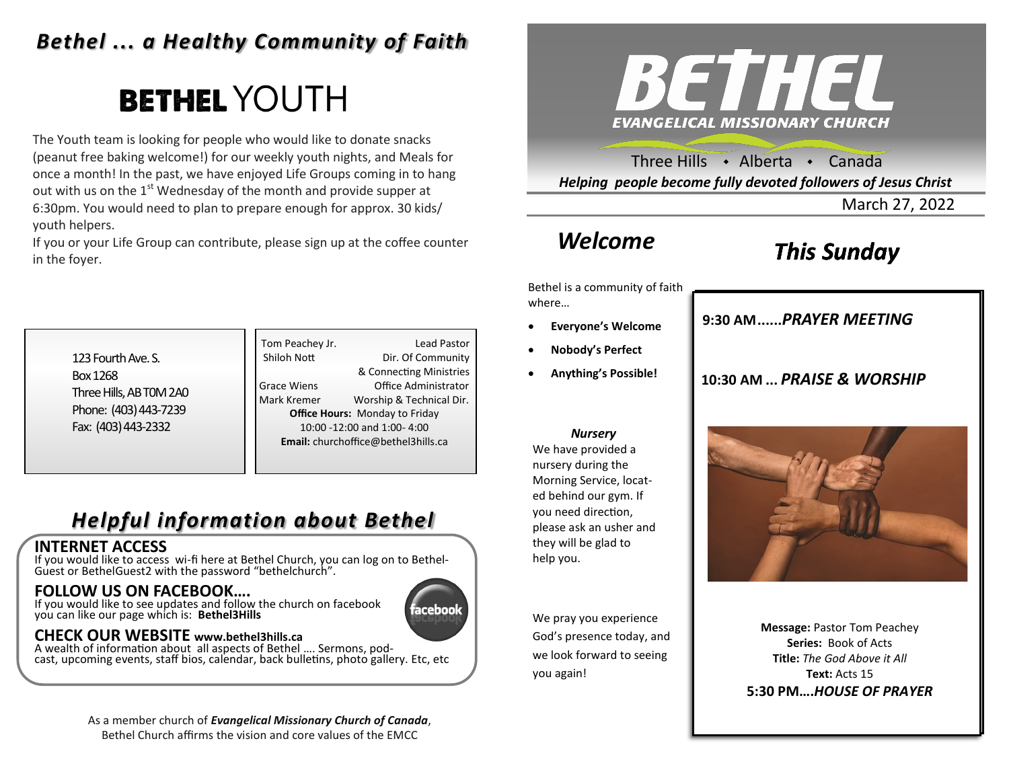### *Bethel ... a Healthy Community of Faith*

# **BETHEL YOUTH**

The Youth team is looking for people who would like to donate snacks (peanut free baking welcome!) for our weekly youth nights, and Meals for once a month! In the past, we have enjoyed Life Groups coming in to hang out with us on the  $1<sup>st</sup>$  Wednesday of the month and provide supper at 6:30pm. You would need to plan to prepare enough for approx. 30 kids/ youth helpers.

If you or your Life Group can contribute, please sign up at the coffee counter in the foyer.



Three Hills  $\rightarrow$  Alberta  $\rightarrow$  Canada *Helping people become fully devoted followers of Jesus Christ*

March 27, 2022

### *Welcome*

# *This Sunday*

Bethel is a community of faith where…

- **Everyone's Welcome**
- **Nobody's Perfect**
- **Anything's Possible!**

**9:30 AM......***SUNDAY SCHOOL* **9:30 AM......***PRAYER MEETING* 

**10:30 AM ...** *PRAISE & WORSHIP* 

**10:30 AM....***PRAISE & WORSHIP* 



We have provided a nursery during the Morning Service, located behind our gym. If you need direction, please ask an usher and they will be glad to help you.

We pray you experience God's presence today, and we look forward to seeing you again!

**Message:** Pastor Tom Peachey **Series:** Book of Acts **Title:** *The God Above it All* **Text:** Acts 15 **5:30 PM….***HOUSE OF PRAYER*

123 Fourth Ave. S. Box 1268 Three Hills, AB T0M 2A0 Phone: (403) 443-7239 Fax: (403) 443-2332

Tom Peachey Jr. **Lead Pastor** Shiloh Nott Dir. Of Community & Connecting Ministries Grace Wiens Office Administrator Mark Kremer Worship & Technical Dir. **Office Hours:** Monday to Friday 10:00 -12:00 and 1:00- 4:00 **Email:** churchoffice@bethel3hills.ca

# *Helpful information about Bethel*

### **INTERNET ACCESS**

If you would like to access wi-fi here at Bethel Church, you can log on to Bethel-Guest or BethelGuest2 with the password "bethelchurch".

### **FOLLOW US ON FACEBOOK….**

If you would like to see updates and follow the church on facebook you can like our page which is: **Bethel3Hills**



### **CHECK OUR WEBSITE www.bethel3hills.ca**

A wealth of information about all aspects of Bethel …. Sermons, podcast, upcoming events, staff bios, calendar, back bulletins, photo gallery. Etc, etc